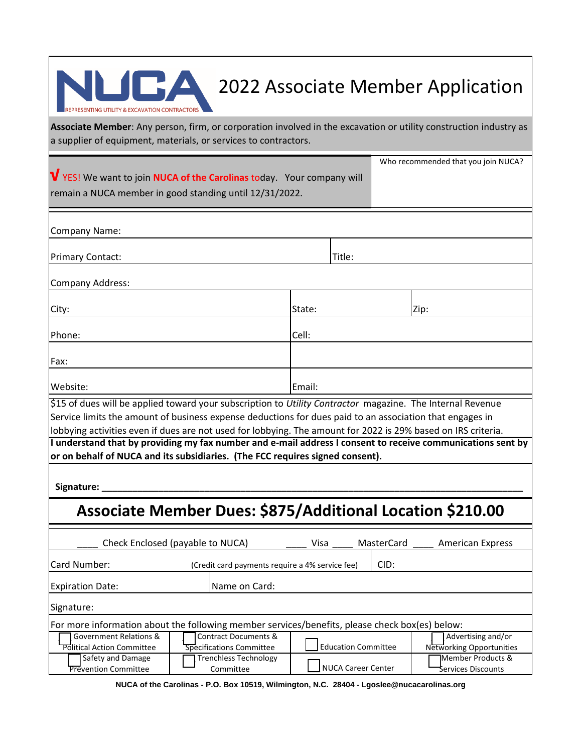

## **2022 Associate Member Application**

Who recommended that you join NUCA?

**Associate Member**: Any person, firm, or corporation involved in the excavation or utility construction industry as a supplier of equipment, materials, or services to contractors.

| V YES! We want to join NUCA of the Carolinas today. Your company will |  |
|-----------------------------------------------------------------------|--|
| remain a NUCA member in good standing until 12/31/2022.               |  |

| Company Name:                                                                                                                                                                                                                                                                                                                           |        |        |      |  |  |  |
|-----------------------------------------------------------------------------------------------------------------------------------------------------------------------------------------------------------------------------------------------------------------------------------------------------------------------------------------|--------|--------|------|--|--|--|
| <b>Primary Contact:</b>                                                                                                                                                                                                                                                                                                                 |        | Title: |      |  |  |  |
| Company Address:                                                                                                                                                                                                                                                                                                                        |        |        |      |  |  |  |
| City:                                                                                                                                                                                                                                                                                                                                   | State: |        | Zip: |  |  |  |
| Phone:                                                                                                                                                                                                                                                                                                                                  | Cell:  |        |      |  |  |  |
| Fax:                                                                                                                                                                                                                                                                                                                                    |        |        |      |  |  |  |
| Website:                                                                                                                                                                                                                                                                                                                                | Email: |        |      |  |  |  |
| \$15 of dues will be applied toward your subscription to Utility Contractor magazine. The Internal Revenue<br>Service limits the amount of business expense deductions for dues paid to an association that engages in<br>lobbying activities even if dues are not used for lobbying. The amount for 2022 is 29% based on IRS criteria. |        |        |      |  |  |  |
| I understand that by providing my fax number and e-mail address I consent to receive communications sent by<br>or on behalf of NUCA and its subsidiaries. (The FCC requires signed consent).                                                                                                                                            |        |        |      |  |  |  |
| Signature: _                                                                                                                                                                                                                                                                                                                            |        |        |      |  |  |  |
| Associate Member Dues: \$875/Additional Location \$210.00                                                                                                                                                                                                                                                                               |        |        |      |  |  |  |
|                                                                                                                                                                                                                                                                                                                                         |        |        |      |  |  |  |

|                                                                                                | Check Enclosed (payable to NUCA)                | Visa                       | MasterCard | American Express           |  |  |  |
|------------------------------------------------------------------------------------------------|-------------------------------------------------|----------------------------|------------|----------------------------|--|--|--|
| Card Number:                                                                                   | (Credit card payments require a 4% service fee) |                            | CID:       |                            |  |  |  |
| <b>Expiration Date:</b>                                                                        | Name on Card:                                   |                            |            |                            |  |  |  |
| Signature:                                                                                     |                                                 |                            |            |                            |  |  |  |
| For more information about the following member services/benefits, please check box(es) below: |                                                 |                            |            |                            |  |  |  |
| <b>Government Relations &amp;</b>                                                              | Contract Documents &                            |                            |            | Advertising and/or         |  |  |  |
| <b>Political Action Committee</b>                                                              | Specifications Committee                        | <b>Education Committee</b> |            | Networking Opportunities   |  |  |  |
| Safety and Damage                                                                              | <b>Trenchless Technology</b>                    |                            |            | <b>I</b> Member Products & |  |  |  |
| <b>Prevention Committee</b>                                                                    | Committee                                       | NUCA Career Center         |            | Services Discounts         |  |  |  |

**NUCA of the Carolinas - P.O. Box 10519, Wilmington, N.C. 28404 - Lgoslee@nucacarolinas.org**